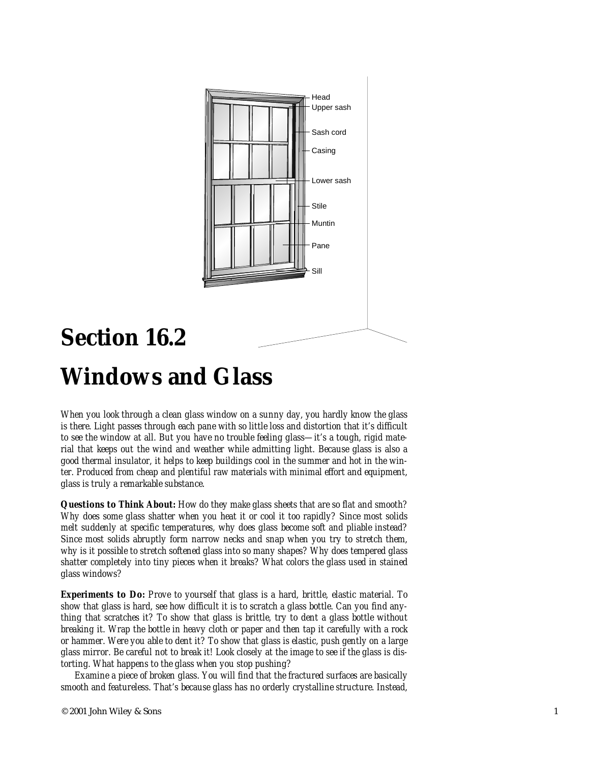

# **Section 16.2**

# **Windows and Glass**

*When you look through a clean glass window on a sunny day, you hardly know the glass is there. Light passes through each pane with so little loss and distortion that it's difficult to see the window at all. But you have no trouble feeling glass—it's a tough, rigid material that keeps out the wind and weather while admitting light. Because glass is also a good thermal insulator, it helps to keep buildings cool in the summer and hot in the winter. Produced from cheap and plentiful raw materials with minimal effort and equipment, glass is truly a remarkable substance.* 

*Questions to Think About: How do they make glass sheets that are so flat and smooth? Why does some glass shatter when you heat it or cool it too rapidly? Since most solids melt suddenly at specific temperatures, why does glass become soft and pliable instead? Since most solids abruptly form narrow necks and snap when you try to stretch them, why is it possible to stretch softened glass into so many shapes? Why does tempered glass shatter completely into tiny pieces when it breaks? What colors the glass used in stained glass windows?* 

*Experiments to Do: Prove to yourself that glass is a hard, brittle, elastic material. To show that glass is hard, see how difficult it is to scratch a glass bottle. Can you find anything that scratches it? To show that glass is brittle, try to dent a glass bottle without breaking it. Wrap the bottle in heavy cloth or paper and then tap it carefully with a rock or hammer. Were you able to dent it? To show that glass is elastic, push gently on a large glass mirror. Be careful not to break it! Look closely at the image to see if the glass is distorting. What happens to the glass when you stop pushing?* 

*Examine a piece of broken glass. You will find that the fractured surfaces are basically smooth and featureless. That's because glass has no orderly crystalline structure. Instead,*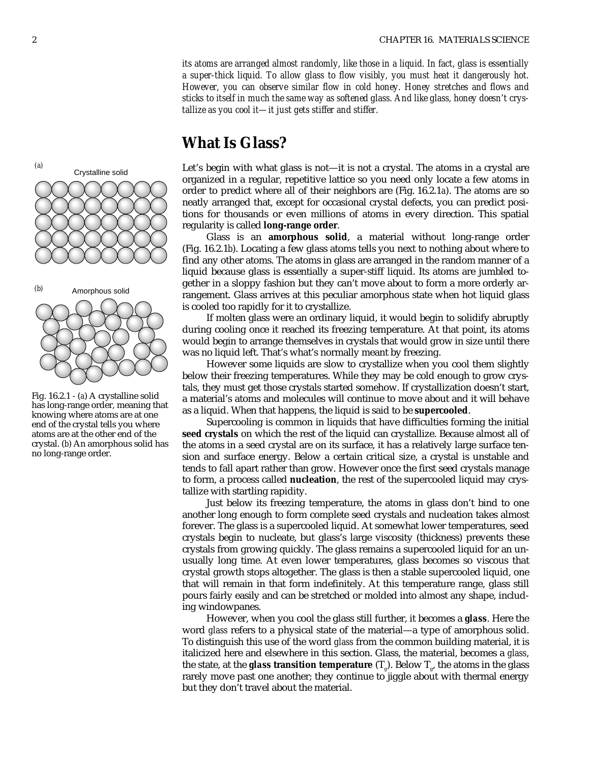*its atoms are arranged almost randomly, like those in a liquid. In fact, glass is essentially a super-thick liquid. To allow glass to flow visibly, you must heat it dangerously hot. However, you can observe similar flow in cold honey. Honey stretches and flows and sticks to itself in much the same way as softened glass. And like glass, honey doesn't crystallize as you cool it—it just gets stiffer and stiffer.* 

## **What Is Glass?**

Let's begin with what glass is not—it is not a crystal. The atoms in a crystal are organized in a regular, repetitive lattice so you need only locate a few atoms in order to predict where all of their neighbors are (Fig. 16.2.1*a*). The atoms are so neatly arranged that, except for occasional crystal defects, you can predict positions for thousands or even millions of atoms in every direction. This spatial regularity is called **long-range order**.

Glass is an **amorphous solid**, a material without long-range order (Fig. 16.2.1*b*). Locating a few glass atoms tells you next to nothing about where to find any other atoms. The atoms in glass are arranged in the random manner of a liquid because glass is essentially a super-stiff liquid. Its atoms are jumbled together in a sloppy fashion but they can't move about to form a more orderly arrangement. Glass arrives at this peculiar amorphous state when hot liquid glass is cooled too rapidly for it to crystallize.

If molten glass were an ordinary liquid, it would begin to solidify abruptly during cooling once it reached its freezing temperature. At that point, its atoms would begin to arrange themselves in crystals that would grow in size until there was no liquid left. That's what's normally meant by freezing.

However some liquids are slow to crystallize when you cool them slightly below their freezing temperatures. While they may be cold enough to grow crystals, they must get those crystals started somehow. If crystallization doesn't start, a material's atoms and molecules will continue to move about and it will behave as a liquid. When that happens, the liquid is said to be **supercooled**.

Supercooling is common in liquids that have difficulties forming the initial **seed crystals** on which the rest of the liquid can crystallize. Because almost all of the atoms in a seed crystal are on its surface, it has a relatively large surface tension and surface energy. Below a certain critical size, a crystal is unstable and tends to fall apart rather than grow. However once the first seed crystals manage to form, a process called **nucleation**, the rest of the supercooled liquid may crystallize with startling rapidity.

Just below its freezing temperature, the atoms in glass don't bind to one another long enough to form complete seed crystals and nucleation takes almost forever. The glass is a supercooled liquid. At somewhat lower temperatures, seed crystals begin to nucleate, but glass's large viscosity (thickness) prevents these crystals from growing quickly. The glass remains a supercooled liquid for an unusually long time. At even lower temperatures, glass becomes so viscous that crystal growth stops altogether. The glass is then a stable supercooled liquid, one that will remain in that form indefinitely. At this temperature range, glass still pours fairly easily and can be stretched or molded into almost any shape, including windowpanes.

However, when you cool the glass still further, it becomes a *glass*. Here the word *glass* refers to a physical state of the material—a type of amorphous solid. To distinguish this use of the word *glass* from the common building material, it is italicized here and elsewhere in this section. Glass, the material, becomes a *glass*, the state, at the **glass transition temperature**  $(T_g)$ . Below  $T_g$ , the atoms in the glass rarely move past one another; they continue to jiggle about with thermal energy but they don't travel about the material.



Crystalline solid

Fig. 16.2.1 - (*a*) A crystalline solid has long-range order, meaning that knowing where atoms are at one end of the crystal tells you where atoms are at the other end of the crystal. (*b*) An amorphous solid has no long-range order.

*(a)*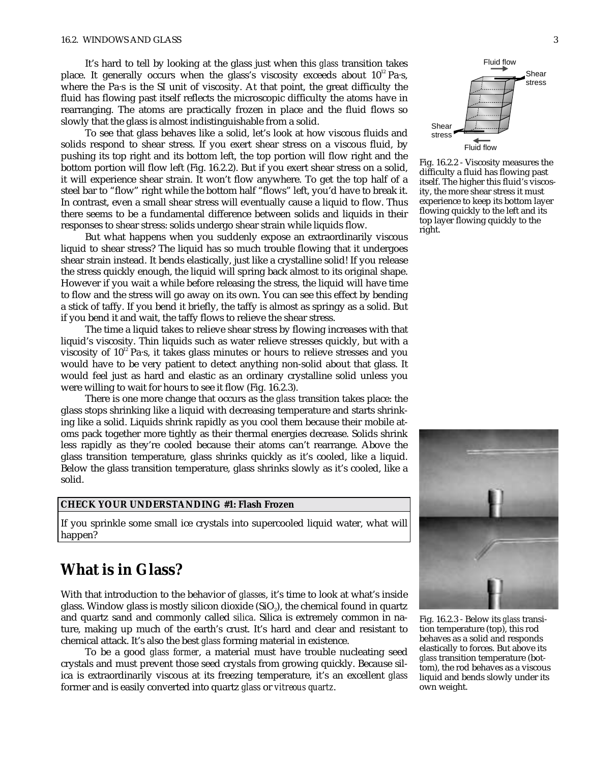It's hard to tell by looking at the glass just when this *glass* transition takes place. It generally occurs when the glass's viscosity exceeds about  $10^{12}$  Pa·s, where the Pa·s is the SI unit of viscosity. At that point, the great difficulty the fluid has flowing past itself reflects the microscopic difficulty the atoms have in rearranging. The atoms are practically frozen in place and the fluid flows so slowly that the glass is almost indistinguishable from a solid.

To see that glass behaves like a solid, let's look at how viscous fluids and solids respond to shear stress. If you exert shear stress on a viscous fluid, by pushing its top right and its bottom left, the top portion will flow right and the bottom portion will flow left (Fig. 16.2.2). But if you exert shear stress on a solid, it will experience shear strain. It won't flow anywhere. To get the top half of a steel bar to "flow" right while the bottom half "flows" left, you'd have to break it. In contrast, even a small shear stress will eventually cause a liquid to flow. Thus there seems to be a fundamental difference between solids and liquids in their responses to shear stress: solids undergo shear strain while liquids flow.

But what happens when you suddenly expose an extraordinarily viscous liquid to shear stress? The liquid has so much trouble flowing that it undergoes shear strain instead. It bends elastically, just like a crystalline solid! If you release the stress quickly enough, the liquid will spring back almost to its original shape. However if you wait a while before releasing the stress, the liquid will have time to flow and the stress will go away on its own. You can see this effect by bending a stick of taffy. If you bend it briefly, the taffy is almost as springy as a solid. But if you bend it and wait, the taffy flows to relieve the shear stress.

The time a liquid takes to relieve shear stress by flowing increases with that liquid's viscosity. Thin liquids such as water relieve stresses quickly, but with a viscosity of  $10^{12}$  Pa·s, it takes glass minutes or hours to relieve stresses and you would have to be very patient to detect anything non-solid about that glass. It would feel just as hard and elastic as an ordinary crystalline solid unless you were willing to wait for hours to see it flow (Fig. 16.2.3).

There is one more change that occurs as the *glass* transition takes place: the glass stops shrinking like a liquid with decreasing temperature and starts shrinking like a solid. Liquids shrink rapidly as you cool them because their mobile atoms pack together more tightly as their thermal energies decrease. Solids shrink less rapidly as they're cooled because their atoms can't rearrange. Above the glass transition temperature, glass shrinks quickly as it's cooled, like a liquid. Below the glass transition temperature, glass shrinks slowly as it's cooled, like a solid.

### **CHECK YOUR UNDERSTANDING #1: Flash Frozen**

If you sprinkle some small ice crystals into supercooled liquid water, what will happen?

## **What is in Glass?**

With that introduction to the behavior of *glasses*, it's time to look at what's inside glass. Window glass is mostly silicon dioxide  $(SiO<sub>s</sub>)$ , the chemical found in quartz and quartz sand and commonly called *silica*. Silica is extremely common in nature, making up much of the earth's crust. It's hard and clear and resistant to chemical attack. It's also the best *glass* forming material in existence.

To be a good *glass former*, a material must have trouble nucleating seed crystals and must prevent those seed crystals from growing quickly. Because silica is extraordinarily viscous at its freezing temperature, it's an excellent *glass* former and is easily converted into quartz *glass* or *vitreous quartz*.



Fig. 16.2.2 - Viscosity measures the difficulty a fluid has flowing past itself. The higher this fluid's viscosity, the more shear stress it must experience to keep its bottom layer flowing quickly to the left and its top layer flowing quickly to the right.



Fig. 16.2.3 - Below its *glass* transition temperature (top), this rod behaves as a solid and responds elastically to forces. But above its *glass* transition temperature (bottom), the rod behaves as a viscous liquid and bends slowly under its own weight.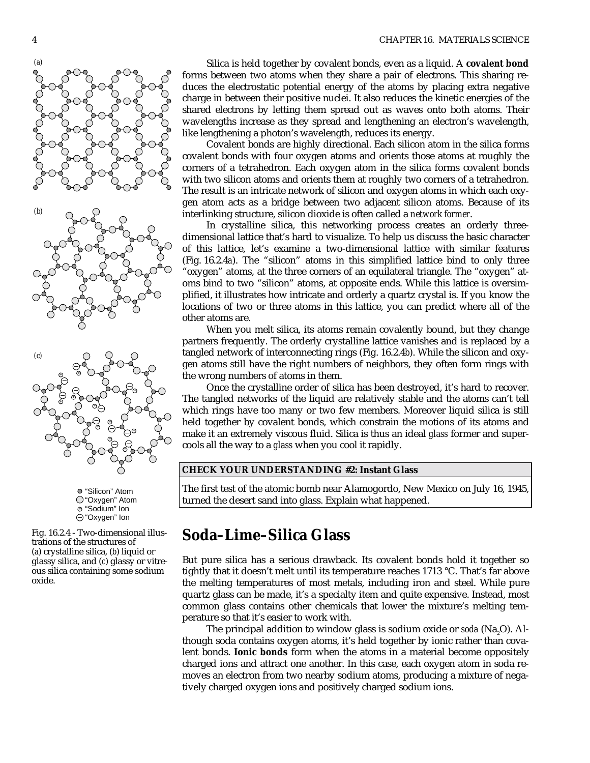

Fig. 16.2.4 - Two-dimensional illustrations of the structures of (*a*) crystalline silica, (*b*) liquid or glassy silica, and (*c*) glassy or vitreous silica containing some sodium oxide.

Silica is held together by covalent bonds, even as a liquid. A **covalent bond** forms between two atoms when they share a pair of electrons. This sharing reduces the electrostatic potential energy of the atoms by placing extra negative charge in between their positive nuclei. It also reduces the kinetic energies of the shared electrons by letting them spread out as waves onto both atoms. Their wavelengths increase as they spread and lengthening an electron's wavelength, like lengthening a photon's wavelength, reduces its energy.

Covalent bonds are highly directional. Each silicon atom in the silica forms covalent bonds with four oxygen atoms and orients those atoms at roughly the corners of a tetrahedron. Each oxygen atom in the silica forms covalent bonds with two silicon atoms and orients them at roughly two corners of a tetrahedron. The result is an intricate network of silicon and oxygen atoms in which each oxygen atom acts as a bridge between two adjacent silicon atoms. Because of its interlinking structure, silicon dioxide is often called a *network former*.

In crystalline silica, this networking process creates an orderly threedimensional lattice that's hard to visualize. To help us discuss the basic character of this lattice, let's examine a two-dimensional lattice with similar features (Fig. 16.2.4*a*). The "silicon" atoms in this simplified lattice bind to only three "oxygen" atoms, at the three corners of an equilateral triangle. The "oxygen" atoms bind to two "silicon" atoms, at opposite ends. While this lattice is oversimplified, it illustrates how intricate and orderly a quartz crystal is. If you know the locations of two or three atoms in this lattice, you can predict where all of the other atoms are.

When you melt silica, its atoms remain covalently bound, but they change partners frequently. The orderly crystalline lattice vanishes and is replaced by a tangled network of interconnecting rings (Fig. 16.2.4*b*). While the silicon and oxygen atoms still have the right numbers of neighbors, they often form rings with the wrong numbers of atoms in them.

Once the crystalline order of silica has been destroyed, it's hard to recover. The tangled networks of the liquid are relatively stable and the atoms can't tell which rings have too many or two few members. Moreover liquid silica is still held together by covalent bonds, which constrain the motions of its atoms and make it an extremely viscous fluid. Silica is thus an ideal *glass* former and supercools all the way to a *glass* when you cool it rapidly.

#### **CHECK YOUR UNDERSTANDING #2: Instant Glass**

The first test of the atomic bomb near Alamogordo, New Mexico on July 16, 1945, turned the desert sand into glass. Explain what happened.

## **Soda–Lime–Silica Glass**

But pure silica has a serious drawback. Its covalent bonds hold it together so tightly that it doesn't melt until its temperature reaches 1713 °C. That's far above the melting temperatures of most metals, including iron and steel. While pure quartz glass can be made, it's a specialty item and quite expensive. Instead, most common glass contains other chemicals that lower the mixture's melting temperature so that it's easier to work with.

The principal addition to window glass is sodium oxide or *soda* (Na<sub>2</sub>O). Although soda contains oxygen atoms, it's held together by ionic rather than covalent bonds. **Ionic bonds** form when the atoms in a material become oppositely charged ions and attract one another. In this case, each oxygen atom in soda removes an electron from two nearby sodium atoms, producing a mixture of negatively charged oxygen ions and positively charged sodium ions.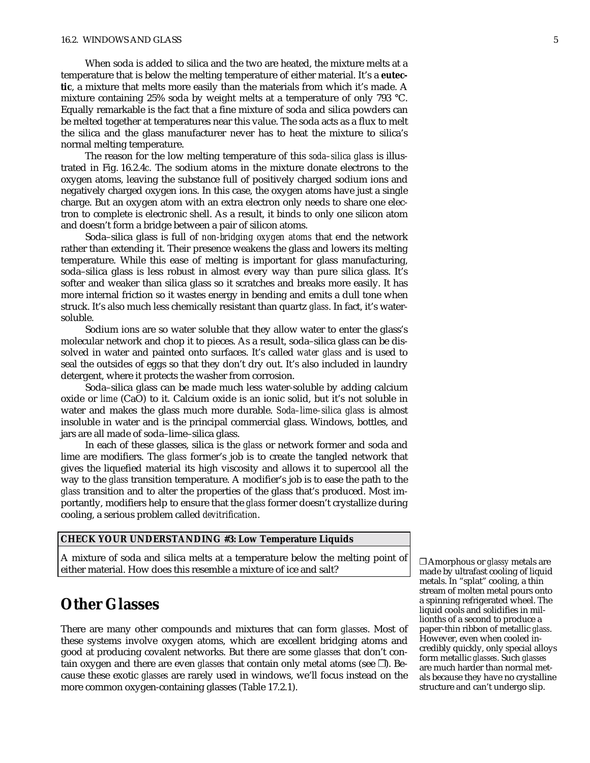When soda is added to silica and the two are heated, the mixture melts at a temperature that is below the melting temperature of either material. It's a **eutectic**, a mixture that melts more easily than the materials from which it's made. A mixture containing 25% soda by weight melts at a temperature of only 793 °C. Equally remarkable is the fact that a fine mixture of soda and silica powders can be melted together at temperatures near this value. The soda acts as a flux to melt the silica and the glass manufacturer never has to heat the mixture to silica's normal melting temperature.

The reason for the low melting temperature of this *soda–silica glass* is illustrated in Fig. 16.2.4*c*. The sodium atoms in the mixture donate electrons to the oxygen atoms, leaving the substance full of positively charged sodium ions and negatively charged oxygen ions. In this case, the oxygen atoms have just a single charge. But an oxygen atom with an extra electron only needs to share one electron to complete is electronic shell. As a result, it binds to only one silicon atom and doesn't form a bridge between a pair of silicon atoms.

Soda–silica glass is full of *non-bridging oxygen atoms* that end the network rather than extending it. Their presence weakens the glass and lowers its melting temperature. While this ease of melting is important for glass manufacturing, soda–silica glass is less robust in almost every way than pure silica glass. It's softer and weaker than silica glass so it scratches and breaks more easily. It has more internal friction so it wastes energy in bending and emits a dull tone when struck. It's also much less chemically resistant than quartz *glass*. In fact, it's watersoluble.

Sodium ions are so water soluble that they allow water to enter the glass's molecular network and chop it to pieces. As a result, soda–silica glass can be dissolved in water and painted onto surfaces. It's called *water glass* and is used to seal the outsides of eggs so that they don't dry out. It's also included in laundry detergent, where it protects the washer from corrosion.

Soda–silica glass can be made much less water-soluble by adding calcium oxide or *lime* (CaO) to it. Calcium oxide is an ionic solid, but it's not soluble in water and makes the glass much more durable. *Soda–lime–silica glass* is almost insoluble in water and is the principal commercial glass. Windows, bottles, and jars are all made of soda–lime–silica glass.

In each of these glasses, silica is the *glass* or network former and soda and lime are modifiers. The *glass* former's job is to create the tangled network that gives the liquefied material its high viscosity and allows it to supercool all the way to the *glass* transition temperature. A modifier's job is to ease the path to the *glass* transition and to alter the properties of the glass that's produced. Most importantly, modifiers help to ensure that the *glass* former doesn't crystallize during cooling, a serious problem called *devitrification*.

### **CHECK YOUR UNDERSTANDING #3: Low Temperature Liquids**

A mixture of soda and silica melts at a temperature below the melting point of either material. How does this resemble a mixture of ice and salt?

## **Other Glasses**

There are many other compounds and mixtures that can form *glasses*. Most of these systems involve oxygen atoms, which are excellent bridging atoms and good at producing covalent networks. But there are some *glasses* that don't contain oxygen and there are even *glasses* that contain only metal atoms (see ❐). Because these exotic *glasses* are rarely used in windows, we'll focus instead on the more common oxygen-containing glasses (Table 17.2.1).

❐ Amorphous or *glassy* metals are made by ultrafast cooling of liquid metals. In "splat" cooling, a thin stream of molten metal pours onto a spinning refrigerated wheel. The liquid cools and solidifies in millionths of a second to produce a paper-thin ribbon of metallic *glass*. However, even when cooled incredibly quickly, only special alloys form metallic *glasses*. Such *glasses* are much harder than normal metals because they have no crystalline structure and can't undergo slip.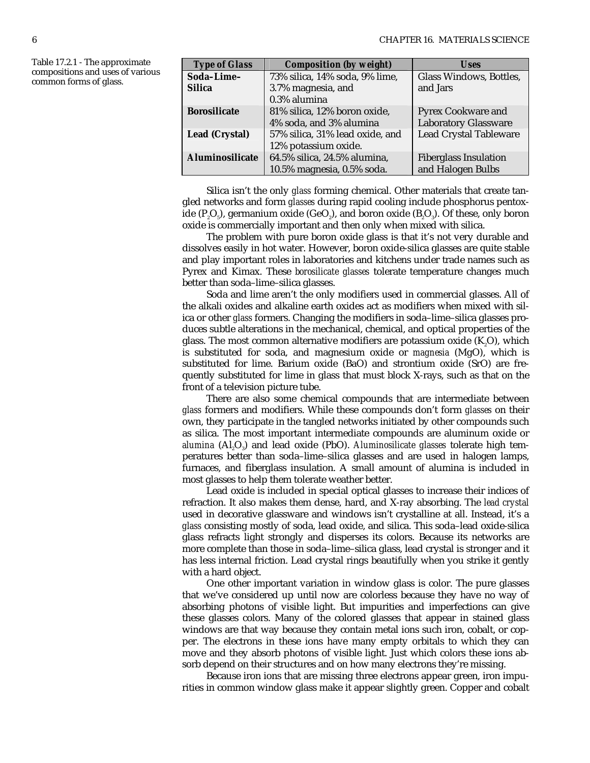Table 17.2.1 - The approximate compositions and uses of various common forms of glass.

| <b>Type of Glass</b>   | <b>Composition (by weight)</b>  | <b>Uses</b>                   |
|------------------------|---------------------------------|-------------------------------|
| Soda-Lime-             | 73% silica, 14% soda, 9% lime,  | Glass Windows, Bottles,       |
| <b>Silica</b>          | 3.7% magnesia, and              | and Jars                      |
|                        | 0.3% alumina                    |                               |
| <b>Borosilicate</b>    | 81% silica, 12% boron oxide,    | Pyrex Cookware and            |
|                        | 4% soda, and 3% alumina         | <b>Laboratory Glassware</b>   |
| Lead (Crystal)         | 57% silica, 31% lead oxide, and | <b>Lead Crystal Tableware</b> |
|                        | 12% potassium oxide.            |                               |
| <b>Aluminosilicate</b> | 64.5% silica, 24.5% alumina,    | <b>Fiberglass Insulation</b>  |
|                        | 10.5% magnesia, 0.5% soda.      | and Halogen Bulbs             |

Silica isn't the only *glass* forming chemical. Other materials that create tangled networks and form *glasses* during rapid cooling include phosphorus pentoxide  $(P_0, Q_1)$ , germanium oxide (GeO<sub>2</sub>), and boron oxide  $(B_0, Q_2)$ . Of these, only boron oxide is commercially important and then only when mixed with silica.

The problem with pure boron oxide glass is that it's not very durable and dissolves easily in hot water. However, boron oxide-silica glasses are quite stable and play important roles in laboratories and kitchens under trade names such as Pyrex and Kimax. These *borosilicate glasses* tolerate temperature changes much better than soda–lime–silica glasses.

Soda and lime aren't the only modifiers used in commercial glasses. All of the alkali oxides and alkaline earth oxides act as modifiers when mixed with silica or other *glass* formers. Changing the modifiers in soda–lime–silica glasses produces subtle alterations in the mechanical, chemical, and optical properties of the glass. The most common alternative modifiers are potassium oxide  $(K<sub>a</sub>O)$ , which is substituted for soda, and magnesium oxide or *magnesia* (MgO), which is substituted for lime. Barium oxide (BaO) and strontium oxide (SrO) are frequently substituted for lime in glass that must block X-rays, such as that on the front of a television picture tube.

There are also some chemical compounds that are intermediate between *glass* formers and modifiers. While these compounds don't form *glasses* on their own, they participate in the tangled networks initiated by other compounds such as silica. The most important intermediate compounds are aluminum oxide or *alumina* (Al<sub>2</sub>O<sub>3</sub>) and lead oxide (PbO). *Aluminosilicate glasses* tolerate high temperatures better than soda–lime–silica glasses and are used in halogen lamps, furnaces, and fiberglass insulation. A small amount of alumina is included in most glasses to help them tolerate weather better.

Lead oxide is included in special optical glasses to increase their indices of refraction. It also makes them dense, hard, and X-ray absorbing. The *lead crystal* used in decorative glassware and windows isn't crystalline at all. Instead, it's a *glass* consisting mostly of soda, lead oxide, and silica. This soda–lead oxide-silica glass refracts light strongly and disperses its colors. Because its networks are more complete than those in soda–lime–silica glass, lead crystal is stronger and it has less internal friction. Lead crystal rings beautifully when you strike it gently with a hard object.

One other important variation in window glass is color. The pure glasses that we've considered up until now are colorless because they have no way of absorbing photons of visible light. But impurities and imperfections can give these glasses colors. Many of the colored glasses that appear in stained glass windows are that way because they contain metal ions such iron, cobalt, or copper. The electrons in these ions have many empty orbitals to which they can move and they absorb photons of visible light. Just which colors these ions absorb depend on their structures and on how many electrons they're missing.

Because iron ions that are missing three electrons appear green, iron impurities in common window glass make it appear slightly green. Copper and cobalt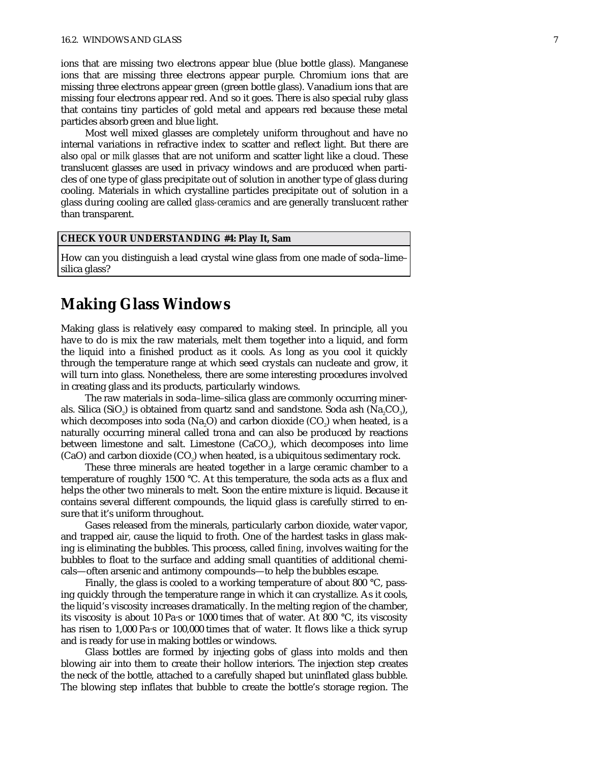ions that are missing two electrons appear blue (blue bottle glass). Manganese ions that are missing three electrons appear purple. Chromium ions that are missing three electrons appear green (green bottle glass). Vanadium ions that are missing four electrons appear red. And so it goes. There is also special ruby glass that contains tiny particles of gold metal and appears red because these metal particles absorb green and blue light.

Most well mixed glasses are completely uniform throughout and have no internal variations in refractive index to scatter and reflect light. But there are also *opal* or *milk glasses* that are not uniform and scatter light like a cloud. These translucent glasses are used in privacy windows and are produced when particles of one type of glass precipitate out of solution in another type of glass during cooling. Materials in which crystalline particles precipitate out of solution in a glass during cooling are called *glass-ceramics* and are generally translucent rather than transparent.

#### **CHECK YOUR UNDERSTANDING #4: Play It, Sam**

How can you distinguish a lead crystal wine glass from one made of soda–lime– silica glass?

## **Making Glass Windows**

Making glass is relatively easy compared to making steel. In principle, all you have to do is mix the raw materials, melt them together into a liquid, and form the liquid into a finished product as it cools. As long as you cool it quickly through the temperature range at which seed crystals can nucleate and grow, it will turn into glass. Nonetheless, there are some interesting procedures involved in creating glass and its products, particularly windows.

The raw materials in soda–lime–silica glass are commonly occurring minerals. Silica (SiO<sub>a</sub>) is obtained from quartz sand and sandstone. Soda ash (Na<sub>n</sub>CO<sub>a</sub>), which decomposes into soda (Na<sub>2</sub>O) and carbon dioxide (CO<sub>2</sub>) when heated, is a naturally occurring mineral called trona and can also be produced by reactions between limestone and salt. Limestone (CaCO 3), which decomposes into lime (CaO) and carbon dioxide (CO 2) when heated, is a ubiquitous sedimentary rock.

These three minerals are heated together in a large ceramic chamber to a temperature of roughly 1500 °C. At this temperature, the soda acts as a flux and helps the other two minerals to melt. Soon the entire mixture is liquid. Because it contains several different compounds, the liquid glass is carefully stirred to ensure that it's uniform throughout.

Gases released from the minerals, particularly carbon dioxide, water vapor, and trapped air, cause the liquid to froth. One of the hardest tasks in glass making is eliminating the bubbles. This process, called *fining*, involves waiting for the bubbles to float to the surface and adding small quantities of additional chemicals—often arsenic and antimony compounds—to help the bubbles escape.

Finally, the glass is cooled to a working temperature of about 800 °C, passing quickly through the temperature range in which it can crystallize. As it cools, the liquid 's viscosity increases dramatically. In the melting region of the chamber, its viscosity is about 10 Pa·s or 1000 times that of water. At 800 °C, its viscosity has risen to 1,000 Pa·s or 100,000 times that of water. It flows like a thick syrup and is ready for use in making bottles or windows.

Glass bottles are formed by injecting gobs of glass into molds and then blowing air into them to create their hollow interiors. The injection step creates the neck of the bottle, attached to a carefully shaped but uninflated glass bubble. The blowing step inflates that bubble to create the bottle's storage region. The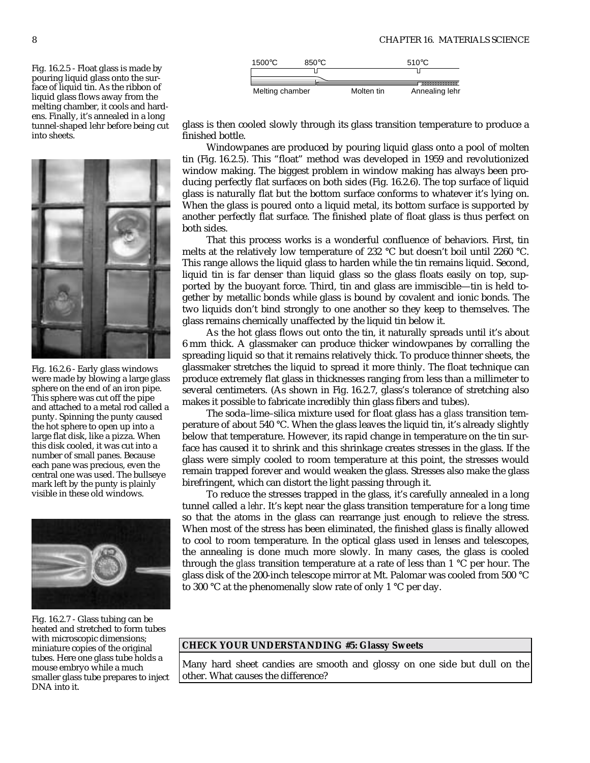Fig. 16.2.5 - Float glass is made by pouring liquid glass onto the surface of liquid tin. As the ribbon of liquid glass flows away from the melting chamber, it cools and hardens. Finally, it's annealed in a long tunnel-shaped lehr before being cut into sheets.



Fig. 16.2.6 - Early glass windows were made by blowing a large glass sphere on the end of an iron pipe. This sphere was cut off the pipe and attached to a metal rod called a punty. Spinning the punty caused the hot sphere to open up into a large flat disk, like a pizza. When this disk cooled, it was cut into a number of small panes. Because each pane was precious, even the central one was used. The bullseye mark left by the punty is plainly visible in these old windows.



Fig. 16.2.7 - Glass tubing can be heated and stretched to form tubes with microscopic dimensions; miniature copies of the original tubes. Here one glass tube holds a mouse embryo while a much smaller glass tube prepares to inject DNA into it.



glass is then cooled slowly through its glass transition temperature to produce a finished bottle.

Windowpanes are produced by pouring liquid glass onto a pool of molten tin (Fig. 16.2.5). This "float" method was developed in 1959 and revolutionized window making. The biggest problem in window making has always been producing perfectly flat surfaces on both sides (Fig. 16.2.6). The top surface of liquid glass is naturally flat but the bottom surface conforms to whatever it's lying on. When the glass is poured onto a liquid metal, its bottom surface is supported by another perfectly flat surface. The finished plate of float glass is thus perfect on both sides.

That this process works is a wonderful confluence of behaviors. First, tin melts at the relatively low temperature of 232 °C but doesn't boil until 2260 °C. This range allows the liquid glass to harden while the tin remains liquid. Second, liquid tin is far denser than liquid glass so the glass floats easily on top, supported by the buoyant force. Third, tin and glass are immiscible—tin is held together by metallic bonds while glass is bound by covalent and ionic bonds. The two liquids don't bind strongly to one another so they keep to themselves. The glass remains chemically unaffected by the liquid tin below it.

As the hot glass flows out onto the tin, it naturally spreads until it's about 6 mm thick. A glassmaker can produce thicker windowpanes by corralling the spreading liquid so that it remains relatively thick. To produce thinner sheets, the glassmaker stretches the liquid to spread it more thinly. The float technique can produce extremely flat glass in thicknesses ranging from less than a millimeter to several centimeters. (As shown in Fig. 16.2.7, glass's tolerance of stretching also makes it possible to fabricate incredibly thin glass fibers and tubes).

The soda–lime–silica mixture used for float glass has a *glass* transition temperature of about 540 °C. When the glass leaves the liquid tin, it's already slightly below that temperature. However, its rapid change in temperature on the tin surface has caused it to shrink and this shrinkage creates stresses in the glass. If the glass were simply cooled to room temperature at this point, the stresses would remain trapped forever and would weaken the glass. Stresses also make the glass birefringent, which can distort the light passing through it.

To reduce the stresses trapped in the glass, it's carefully annealed in a long tunnel called a *lehr*. It's kept near the glass transition temperature for a long time so that the atoms in the glass can rearrange just enough to relieve the stress. When most of the stress has been eliminated, the finished glass is finally allowed to cool to room temperature. In the optical glass used in lenses and telescopes, the annealing is done much more slowly. In many cases, the glass is cooled through the *glass* transition temperature at a rate of less than 1 °C per hour. The glass disk of the 200-inch telescope mirror at Mt. Palomar was cooled from 500 °C to 300 °C at the phenomenally slow rate of only 1 °C per day.

#### **CHECK YOUR UNDERSTANDING #5: Glassy Sweets**

Many hard sheet candies are smooth and glossy on one side but dull on the other. What causes the difference?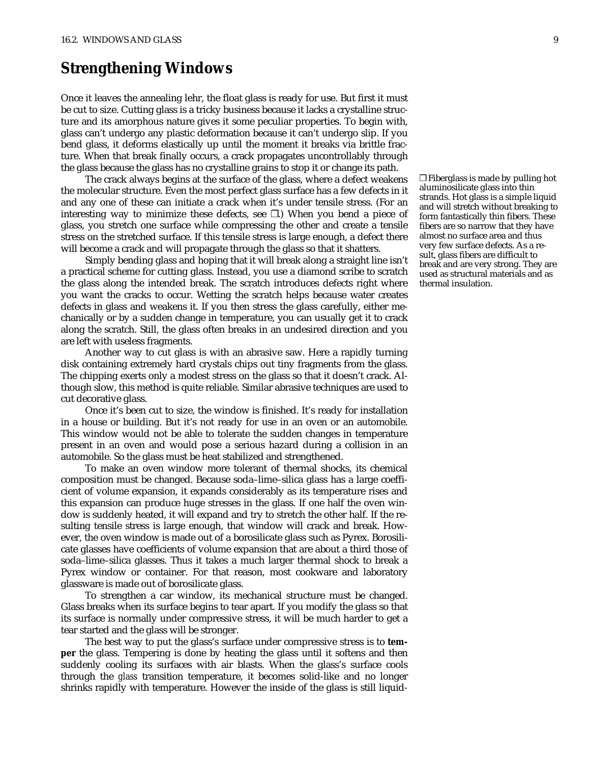## **Strengthening Windows**

Once it leaves the annealing lehr, the float glass is ready for use. But first it must be cut to size. Cutting glass is a tricky business because it lacks a crystalline structure and its amorphous nature gives it some peculiar properties. To begin with, glass can't undergo any plastic deformation because it can't undergo slip. If you bend glass, it deforms elastically up until the moment it breaks via brittle fracture. When that break finally occurs, a crack propagates uncontrollably through the glass because the glass has no crystalline grains to stop it or change its path.

The crack always begins at the surface of the glass, where a defect weakens the molecular structure. Even the most perfect glass surface has a few defects in it and any one of these can initiate a crack when it's under tensile stress. (For an interesting way to minimize these defects, see  $\Box$ .) When you bend a piece of glass, you stretch one surface while compressing the other and create a tensile stress on the stretched surface. If this tensile stress is large enough, a defect there will become a crack and will propagate through the glass so that it shatters.

Simply bending glass and hoping that it will break along a straight line isn't a practical scheme for cutting glass. Instead, you use a diamond scribe to scratch the glass along the intended break. The scratch introduces defects right where you want the cracks to occur. Wetting the scratch helps because water creates defects in glass and weakens it. If you then stress the glass carefully, either mechanically or by a sudden change in temperature, you can usually get it to crack along the scratch. Still, the glass often breaks in an undesired direction and you are left with useless fragments.

Another way to cut glass is with an abrasive saw. Here a rapidly turning disk containing extremely hard crystals chips out tiny fragments from the glass. The chipping exerts only a modest stress on the glass so that it doesn't crack. Although slow, this method is quite reliable. Similar abrasive techniques are used to cut decorative glass.

Once it's been cut to size, the window is finished. It's ready for installation in a house or building. But it's not ready for use in an oven or an automobile. This window would not be able to tolerate the sudden changes in temperature present in an oven and would pose a serious hazard during a collision in an automobile. So the glass must be heat stabilized and strengthened.

To make an oven window more tolerant of thermal shocks, its chemical composition must be changed. Because soda–lime–silica glass has a large coefficient of volume expansion, it expands considerably as its temperature rises and this expansion can produce huge stresses in the glass. If one half the oven window is suddenly heated, it will expand and try to stretch the other half. If the resulting tensile stress is large enough, that window will crack and break. However, the oven window is made out of a borosilicate glass such as Pyrex. Borosilicate glasses have coefficients of volume expansion that are about a third those of soda–lime–silica glasses. Thus it takes a much larger thermal shock to break a Pyrex window or container. For that reason, most cookware and laboratory glassware is made out of borosilicate glass.

To strengthen a car window, its mechanical structure must be changed. Glass breaks when its surface begins to tear apart. If you modify the glass so that its surface is normally under compressive stress, it will be much harder to get a tear started and the glass will be stronger.

The best way to put the glass's surface under compressive stress is to **temper** the glass. Tempering is done by heating the glass until it softens and then suddenly cooling its surfaces with air blasts. When the glass's surface cools through the *glass* transition temperature, it becomes solid-like and no longer shrinks rapidly with temperature. However the inside of the glass is still liquid $\Box$  Fiberglass is made by pulling hot aluminosilicate glass into thin strands. Hot glass is a simple liquid and will stretch without breaking to form fantastically thin fibers. These fibers are so narrow that they have almost no surface area and thus very few surface defects. As a result, glass fibers are difficult to break and are very strong. They are used as structural materials and as thermal insulation.